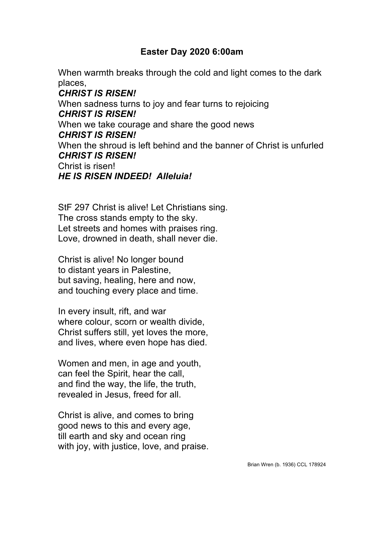## **Easter Day 2020 6:00am**

When warmth breaks through the cold and light comes to the dark places,

*CHRIST IS RISEN!* When sadness turns to joy and fear turns to rejoicing *CHRIST IS RISEN!* When we take courage and share the good news *CHRIST IS RISEN!* When the shroud is left behind and the banner of Christ is unfurled *CHRIST IS RISEN!* Christ is risen! *HE IS RISEN INDEED! Alleluia!*

StF 297 Christ is alive! Let Christians sing. The cross stands empty to the sky. Let streets and homes with praises ring. Love, drowned in death, shall never die.

Christ is alive! No longer bound to distant years in Palestine, but saving, healing, here and now, and touching every place and time.

In every insult, rift, and war where colour, scorn or wealth divide, Christ suffers still, yet loves the more, and lives, where even hope has died.

Women and men, in age and youth, can feel the Spirit, hear the call, and find the way, the life, the truth, revealed in Jesus, freed for all.

Christ is alive, and comes to bring good news to this and every age, till earth and sky and ocean ring with joy, with justice, love, and praise.

Brian Wren (b. 1936) CCL 178924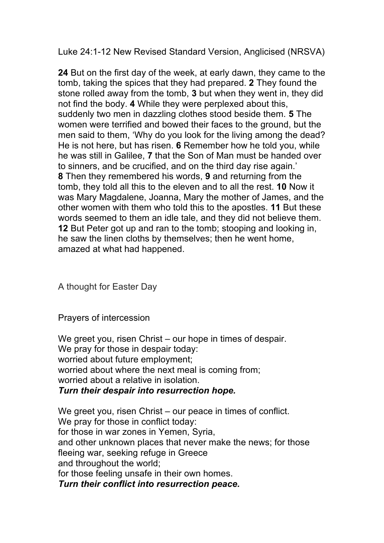Luke 24:1-12 New Revised Standard Version, Anglicised (NRSVA)

**24** But on the first day of the week, at early dawn, they came to the tomb, taking the spices that they had prepared. **2** They found the stone rolled away from the tomb, **3** but when they went in, they did not find the body. **4** While they were perplexed about this, suddenly two men in dazzling clothes stood beside them. **5** The women were terrified and bowed their faces to the ground, but the men said to them, 'Why do you look for the living among the dead? He is not here, but has risen. **6** Remember how he told you, while he was still in Galilee, **7** that the Son of Man must be handed over to sinners, and be crucified, and on the third day rise again.' **8** Then they remembered his words, **9** and returning from the tomb, they told all this to the eleven and to all the rest. **10** Now it was Mary Magdalene, Joanna, Mary the mother of James, and the other women with them who told this to the apostles. **11** But these words seemed to them an idle tale, and they did not believe them. **12** But Peter got up and ran to the tomb; stooping and looking in, he saw the linen cloths by themselves; then he went home, amazed at what had happened.

A thought for Easter Day

Prayers of intercession

We greet you, risen Christ – our hope in times of despair. We pray for those in despair today: worried about future employment; worried about where the next meal is coming from; worried about a relative in isolation. *Turn their despair into resurrection hope.*

We greet you, risen Christ – our peace in times of conflict. We pray for those in conflict today: for those in war zones in Yemen, Syria, and other unknown places that never make the news; for those fleeing war, seeking refuge in Greece and throughout the world; for those feeling unsafe in their own homes. *Turn their conflict into resurrection peace.*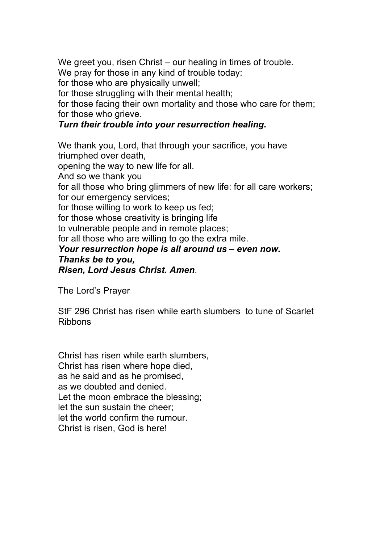We greet you, risen Christ – our healing in times of trouble.

We pray for those in any kind of trouble today:

for those who are physically unwell;

for those struggling with their mental health;

for those facing their own mortality and those who care for them; for those who grieve.

## *Turn their trouble into your resurrection healing.*

We thank you, Lord, that through your sacrifice, you have triumphed over death, opening the way to new life for all. And so we thank you for all those who bring glimmers of new life: for all care workers; for our emergency services; for those willing to work to keep us fed; for those whose creativity is bringing life to vulnerable people and in remote places; for all those who are willing to go the extra mile. *Your resurrection hope is all around us – even now. Thanks be to you, Risen, Lord Jesus Christ. Amen*.

The Lord's Prayer

StF 296 Christ has risen while earth slumbers to tune of Scarlet Ribbons

Christ has risen while earth slumbers, Christ has risen where hope died, as he said and as he promised, as we doubted and denied. Let the moon embrace the blessing; let the sun sustain the cheer; let the world confirm the rumour. Christ is risen, God is here!